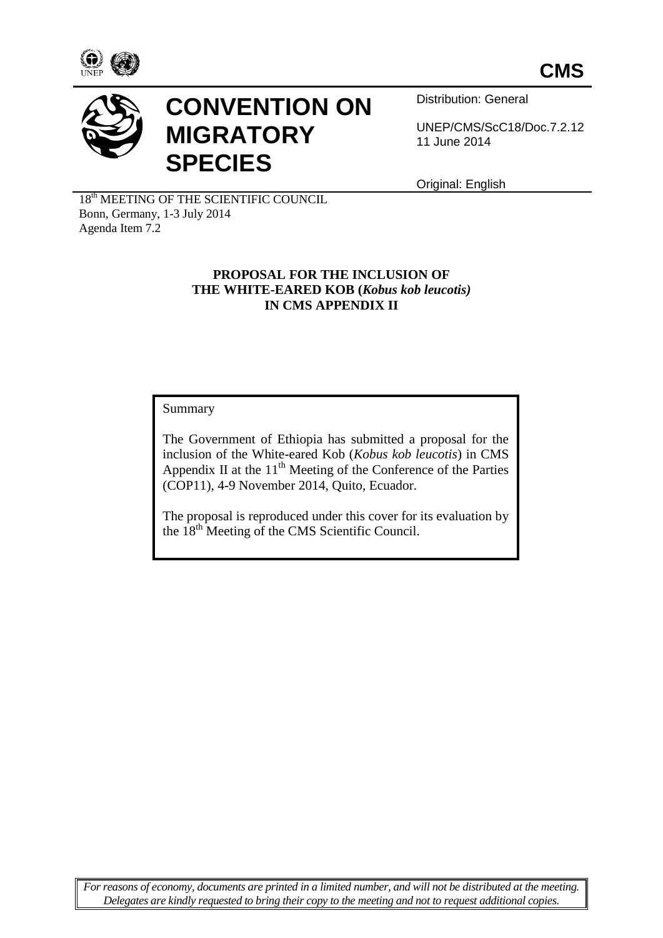



# **CONVENTION ON MIGRATORY SPECIES**

Distribution: General

UNEP/CMS/ScC18/Doc.7.2.12 11 June 2014

Original: English

18<sup>th</sup> MEETING OF THE SCIENTIFIC COUNCIL Bonn, Germany, 1-3 July 2014 Agenda Item 7.2

#### **PROPOSAL FOR THE INCLUSION OF THE WHITE-EARED KOB (***Kobus kob leucotis)* **IN CMS APPENDIX II**

Summary

The Government of Ethiopia has submitted a proposal for the inclusion of the White-eared Kob (*Kobus kob leucotis*) in CMS Appendix II at the  $11<sup>th</sup>$  Meeting of the Conference of the Parties (COP11), 4-9 November 2014, Quito, Ecuador.

The proposal is reproduced under this cover for its evaluation by the 18th Meeting of the CMS Scientific Council.

*For reasons of economy, documents are printed in a limited number, and will not be distributed at the meeting. Delegates are kindly requested to bring their copy to the meeting and not to request additional copies.*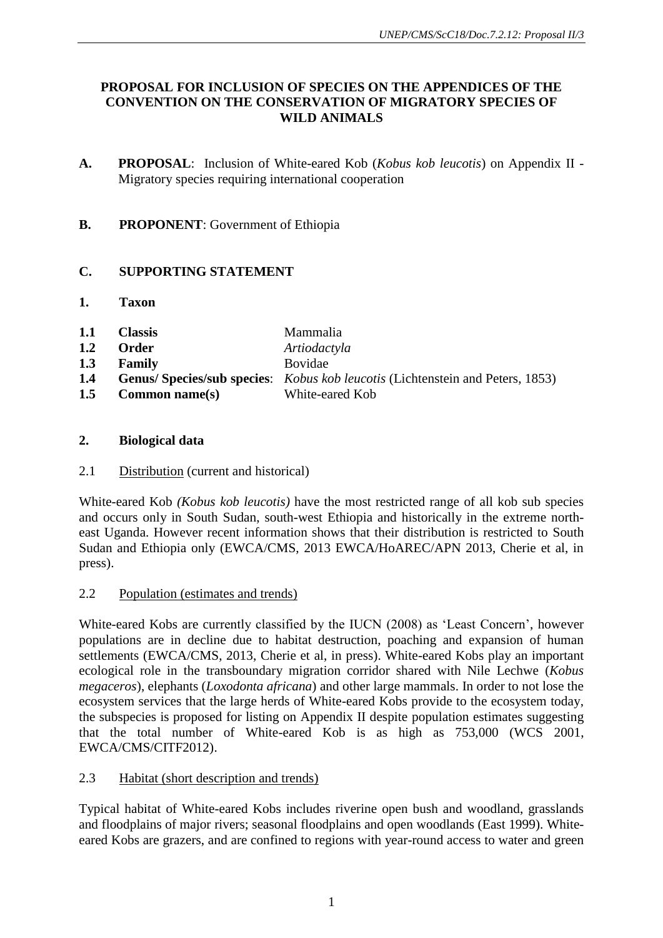## **PROPOSAL FOR INCLUSION OF SPECIES ON THE APPENDICES OF THE CONVENTION ON THE CONSERVATION OF MIGRATORY SPECIES OF WILD ANIMALS**

- **A. PROPOSAL**: Inclusion of White-eared Kob (*Kobus kob leucotis*) on Appendix II Migratory species requiring international cooperation
- **B. PROPONENT**: Government of Ethiopia

## **C. SUPPORTING STATEMENT**

- **1. Taxon**
- **1.1 Classis** Mammalia
- **1.2 Order** *Artiodactyla*
- **1.3 Family** Bovidae
- **1.4 Genus/ Species/sub species**: *Kobus kob leucotis* (Lichtenstein and Peters, 1853)
- **1.5 Common name(s)** White-eared Kob

## **2. Biological data**

## 2.1 Distribution (current and historical)

White-eared Kob *(Kobus kob leucotis)* have the most restricted range of all kob sub species and occurs only in South Sudan, south-west Ethiopia and historically in the extreme northeast Uganda. However recent information shows that their distribution is restricted to South Sudan and Ethiopia only (EWCA/CMS, 2013 EWCA/HoAREC/APN 2013, Cherie et al, in press).

## 2.2 Population (estimates and trends)

White-eared Kobs are currently classified by the IUCN (2008) as 'Least Concern', however populations are in decline due to habitat destruction, poaching and expansion of human settlements (EWCA/CMS, 2013, Cherie et al, in press). White-eared Kobs play an important ecological role in the transboundary migration corridor shared with Nile Lechwe (*Kobus megaceros*), elephants (*Loxodonta africana*) and other large mammals. In order to not lose the ecosystem services that the large herds of White-eared Kobs provide to the ecosystem today, the subspecies is proposed for listing on Appendix II despite population estimates suggesting that the total number of White-eared Kob is as high as 753,000 (WCS 2001, EWCA/CMS/CITF2012).

## 2.3 Habitat (short description and trends)

Typical habitat of White-eared Kobs includes riverine open bush and woodland, grasslands and floodplains of major rivers; seasonal floodplains and open woodlands (East 1999). Whiteeared Kobs are grazers, and are confined to regions with year-round access to water and green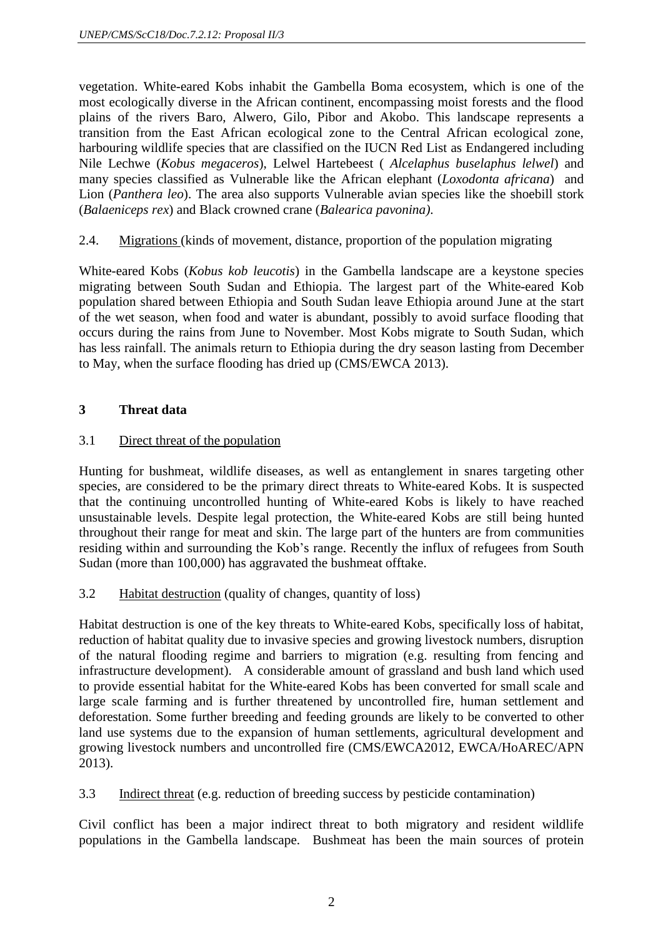vegetation. White-eared Kobs inhabit the Gambella Boma ecosystem, which is one of the most ecologically diverse in the African continent, encompassing moist forests and the flood plains of the rivers Baro, Alwero, Gilo, Pibor and Akobo. This landscape represents a transition from the East African ecological zone to the Central African ecological zone, harbouring wildlife species that are classified on the IUCN Red List as Endangered including Nile Lechwe (*Kobus megaceros*), Lelwel Hartebeest ( *Alcelaphus buselaphus lelwel*) and many species classified as Vulnerable like the African elephant (*Loxodonta africana*) and Lion (*Panthera leo*). The area also supports Vulnerable avian species like the shoebill stork (*Balaeniceps rex*) and Black crowned crane (*Balearica pavonina)*.

2.4. Migrations (kinds of movement, distance, proportion of the population migrating

White-eared Kobs (*Kobus kob leucotis*) in the Gambella landscape are a keystone species migrating between South Sudan and Ethiopia. The largest part of the White-eared Kob population shared between Ethiopia and South Sudan leave Ethiopia around June at the start of the wet season, when food and water is abundant, possibly to avoid surface flooding that occurs during the rains from June to November. Most Kobs migrate to South Sudan, which has less rainfall. The animals return to Ethiopia during the dry season lasting from December to May, when the surface flooding has dried up (CMS/EWCA 2013).

## **3 Threat data**

## 3.1 Direct threat of the population

Hunting for bushmeat, wildlife diseases, as well as entanglement in snares targeting other species, are considered to be the primary direct threats to White-eared Kobs. It is suspected that the continuing uncontrolled hunting of White-eared Kobs is likely to have reached unsustainable levels. Despite legal protection, the White-eared Kobs are still being hunted throughout their range for meat and skin. The large part of the hunters are from communities residing within and surrounding the Kob's range. Recently the influx of refugees from South Sudan (more than 100,000) has aggravated the bushmeat offtake.

#### 3.2 Habitat destruction (quality of changes, quantity of loss)

Habitat destruction is one of the key threats to White-eared Kobs, specifically loss of habitat, reduction of habitat quality due to invasive species and growing livestock numbers, disruption of the natural flooding regime and barriers to migration (e.g. resulting from fencing and infrastructure development). A considerable amount of grassland and bush land which used to provide essential habitat for the White-eared Kobs has been converted for small scale and large scale farming and is further threatened by uncontrolled fire, human settlement and deforestation. Some further breeding and feeding grounds are likely to be converted to other land use systems due to the expansion of human settlements, agricultural development and growing livestock numbers and uncontrolled fire (CMS/EWCA2012, EWCA/HoAREC/APN 2013).

3.3 Indirect threat (e.g. reduction of breeding success by pesticide contamination)

Civil conflict has been a major indirect threat to both migratory and resident wildlife populations in the Gambella landscape. Bushmeat has been the main sources of protein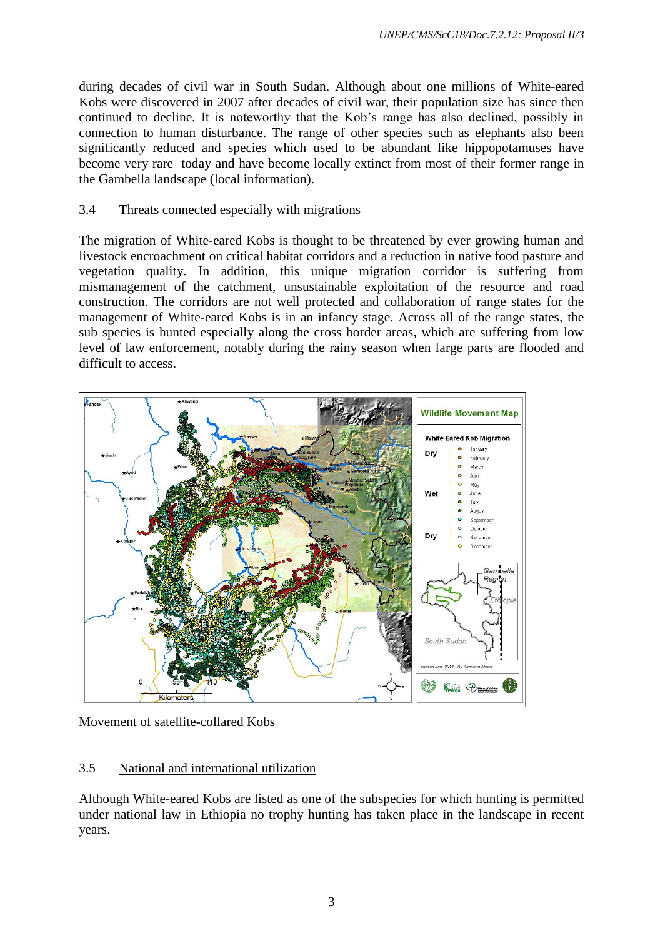during decades of civil war in South Sudan. Although about one millions of White-eared Kobs were discovered in 2007 after decades of civil war, their population size has since then continued to decline. It is noteworthy that the Kob's range has also declined, possibly in connection to human disturbance. The range of other species such as elephants also been significantly reduced and species which used to be abundant like hippopotamuses have become very rare today and have become locally extinct from most of their former range in the Gambella landscape (local information).

#### 3.4 Threats connected especially with migrations

The migration of White-eared Kobs is thought to be threatened by ever growing human and livestock encroachment on critical habitat corridors and a reduction in native food pasture and vegetation quality. In addition, this unique migration corridor is suffering from mismanagement of the catchment, unsustainable exploitation of the resource and road construction. The corridors are not well protected and collaboration of range states for the management of White-eared Kobs is in an infancy stage. Across all of the range states, the sub species is hunted especially along the cross border areas, which are suffering from low level of law enforcement, notably during the rainy season when large parts are flooded and difficult to access.



Movement of satellite-collared Kobs

## 3.5 National and international utilization

Although White-eared Kobs are listed as one of the subspecies for which hunting is permitted under national law in Ethiopia no trophy hunting has taken place in the landscape in recent years.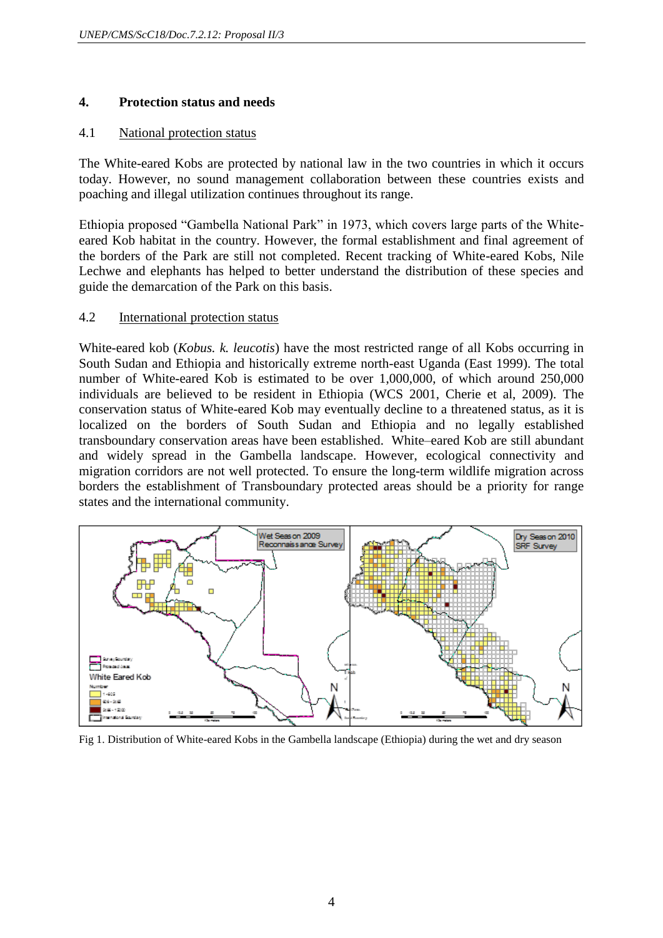#### **4. Protection status and needs**

#### 4.1 National protection status

The White-eared Kobs are protected by national law in the two countries in which it occurs today. However, no sound management collaboration between these countries exists and poaching and illegal utilization continues throughout its range.

Ethiopia proposed "Gambella National Park" in 1973, which covers large parts of the Whiteeared Kob habitat in the country. However, the formal establishment and final agreement of the borders of the Park are still not completed. Recent tracking of White-eared Kobs, Nile Lechwe and elephants has helped to better understand the distribution of these species and guide the demarcation of the Park on this basis.

#### 4.2 International protection status

White-eared kob (*Kobus. k. leucotis*) have the most restricted range of all Kobs occurring in South Sudan and Ethiopia and historically extreme north-east Uganda (East 1999). The total number of White-eared Kob is estimated to be over 1,000,000, of which around 250,000 individuals are believed to be resident in Ethiopia (WCS 2001, Cherie et al, 2009). The conservation status of White-eared Kob may eventually decline to a threatened status, as it is localized on the borders of South Sudan and Ethiopia and no legally established transboundary conservation areas have been established. White–eared Kob are still abundant and widely spread in the Gambella landscape. However, ecological connectivity and migration corridors are not well protected. To ensure the long-term wildlife migration across borders the establishment of Transboundary protected areas should be a priority for range states and the international community.



Fig 1. Distribution of White-eared Kobs in the Gambella landscape (Ethiopia) during the wet and dry season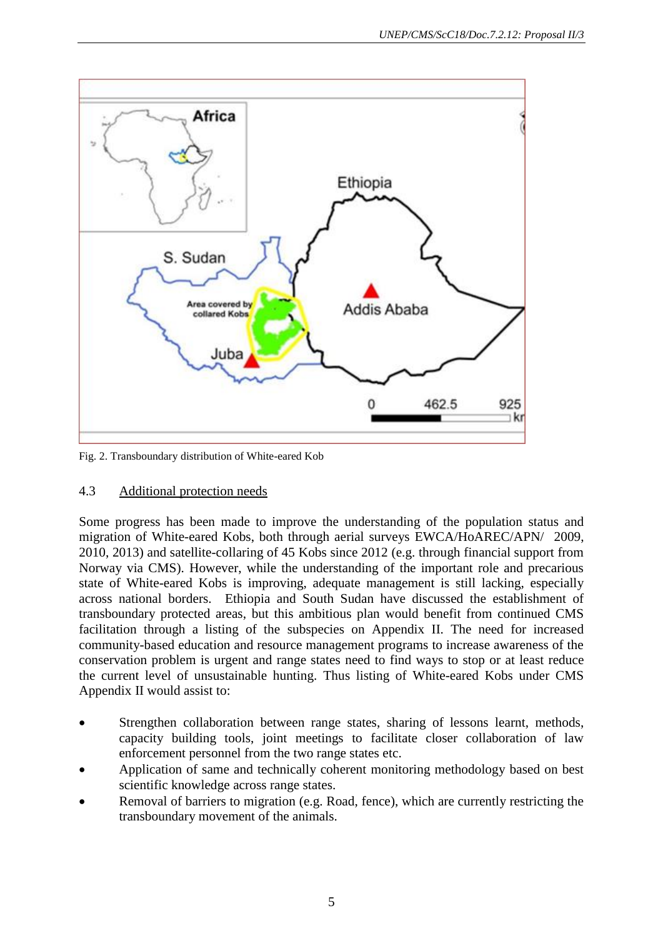

Fig. 2. Transboundary distribution of White-eared Kob

## 4.3 Additional protection needs

Some progress has been made to improve the understanding of the population status and migration of White-eared Kobs, both through aerial surveys EWCA/HoAREC/APN/ 2009, 2010, 2013) and satellite-collaring of 45 Kobs since 2012 (e.g. through financial support from Norway via CMS). However, while the understanding of the important role and precarious state of White-eared Kobs is improving, adequate management is still lacking, especially across national borders. Ethiopia and South Sudan have discussed the establishment of transboundary protected areas, but this ambitious plan would benefit from continued CMS facilitation through a listing of the subspecies on Appendix II. The need for increased community-based education and resource management programs to increase awareness of the conservation problem is urgent and range states need to find ways to stop or at least reduce the current level of unsustainable hunting. Thus listing of White-eared Kobs under CMS Appendix II would assist to:

- Strengthen collaboration between range states, sharing of lessons learnt, methods, capacity building tools, joint meetings to facilitate closer collaboration of law enforcement personnel from the two range states etc.
- Application of same and technically coherent monitoring methodology based on best scientific knowledge across range states.
- Removal of barriers to migration (e.g. Road, fence), which are currently restricting the transboundary movement of the animals.